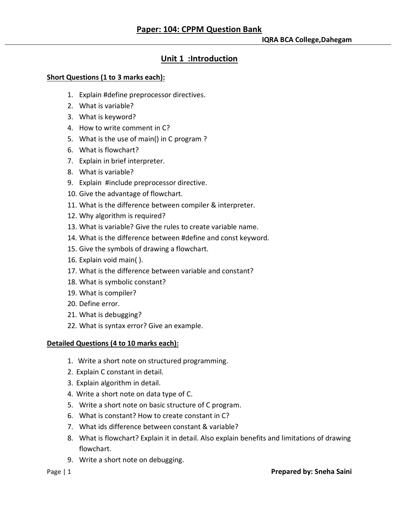# **Unit 1 :Introduction**

## **Short Questions (1 to 3 marks each):**

- 1. Explain #define preprocessor directives.
- 2. What is variable?
- 3. What is keyword?
- 4. How to write comment in C?
- 5. What is the use of main() in C program ?
- 6. What is flowchart?
- 7. Explain in brief interpreter.
- 8. What is variable?
- 9. Explain #include preprocessor directive.
- 10. Give the advantage of flowchart.
- 11. What is the difference between compiler & interpreter.
- 12. Why algorithm is required?
- 13. What is variable? Give the rules to create variable name.
- 14. What is the difference between #define and const keyword.
- 15. Give the symbols of drawing a flowchart.
- 16. Explain void main( ).
- 17. What is the difference between variable and constant?
- 18. What is symbolic constant?
- 19. What is compiler?
- 20. Define error.
- 21. What is debugging?
- 22. What is syntax error? Give an example.

# **Detailed Questions (4 to 10 marks each):**

- 1. Write a short note on structured programming.
- 2. Explain C constant in detail.
- 3. Explain algorithm in detail.
- 4. Write a short note on data type of C.
- 5. Write a short note on basic structure of C program.
- 6. What is constant? How to create constant in C?
- 7. What ids difference between constant & variable?
- 8. What is flowchart? Explain it in detail. Also explain benefits and limitations of drawing flowchart.
- 9. Write a short note on debugging.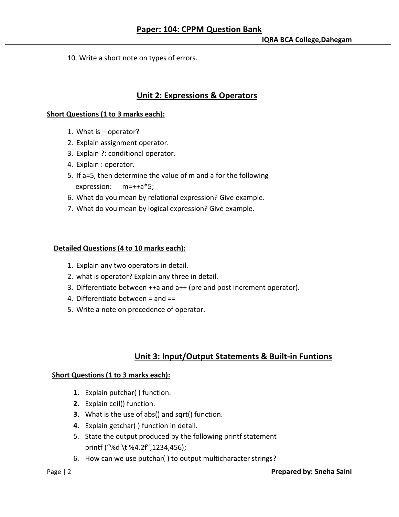10. Write a short note on types of errors.

## **Unit 2: Expressions & Operators**

#### **Short Questions (1 to 3 marks each):**

- 1. What is operator?
- 2. Explain assignment operator.
- 3. Explain ?: conditional operator.
- 4. Explain : operator.
- 5. If a=5, then determine the value of m and a for the following expression: m=++a\*5;
- 6. What do you mean by relational expression? Give example.
- 7. What do you mean by logical expression? Give example.

### **Detailed Questions (4 to 10 marks each):**

- 1. Explain any two operators in detail.
- 2. what is operator? Explain any three in detail.
- 3. Differentiate between ++a and a++ (pre and post increment operator).
- 4. Differentiate between = and ==
- 5. Write a note on precedence of operator.

## **Unit 3: Input/Output Statements & Built-in Funtions**

#### **Short Questions (1 to 3 marks each):**

- **1.** Explain putchar( ) function.
- **2.** Explain ceil() function.
- **3.** What is the use of abs() and sqrt() function.
- **4.** Explain getchar( ) function in detail.
- 5. State the output produced by the following printf statement printf ("%d \t %4.2f",1234,456);
- 6. How can we use putchar( ) to output multicharacter strings?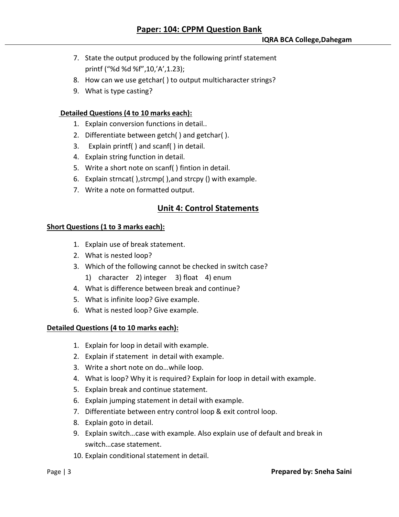- 7. State the output produced by the following printf statement printf ("%d %d %f",10,'A',1.23);
- 8. How can we use getchar( ) to output multicharacter strings?
- 9. What is type casting?

## **Detailed Questions (4 to 10 marks each):**

- 1. Explain conversion functions in detail..
- 2. Differentiate between getch( ) and getchar( ).
- 3. Explain printf( ) and scanf( ) in detail.
- 4. Explain string function in detail.
- 5. Write a short note on scanf( ) fintion in detail.
- 6. Explain strncat( ),strcmp( ),and strcpy () with example.
- 7. Write a note on formatted output.

## **Unit 4: Control Statements**

### **Short Questions (1 to 3 marks each):**

- 1. Explain use of break statement.
- 2. What is nested loop?
- 3. Which of the following cannot be checked in switch case?
	- 1) character 2) integer 3) float 4) enum
- 4. What is difference between break and continue?
- 5. What is infinite loop? Give example.
- 6. What is nested loop? Give example.

### **Detailed Questions (4 to 10 marks each):**

- 1. Explain for loop in detail with example.
- 2. Explain if statement in detail with example.
- 3. Write a short note on do…while loop.
- 4. What is loop? Why it is required? Explain for loop in detail with example.
- 5. Explain break and continue statement.
- 6. Explain jumping statement in detail with example.
- 7. Differentiate between entry control loop & exit control loop.
- 8. Explain goto in detail.
- 9. Explain switch…case with example. Also explain use of default and break in switch…case statement.
- 10. Explain conditional statement in detail.